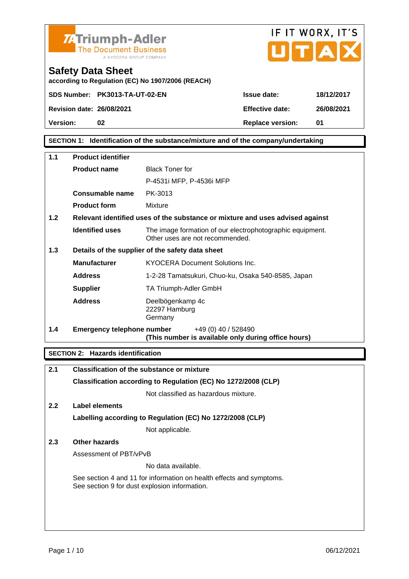



according to Regulation (EC) No 1907/2006 (REACH)

Safety Data Sheet

Version: 02 02 Replace version: 01

SECTION 1: Identification of the substance/mixture and of the company/undertaking

| 1.1 | Product identifier         |                                                                                              |
|-----|----------------------------|----------------------------------------------------------------------------------------------|
|     | Product name               | <b>Black Toner for</b>                                                                       |
|     |                            | P-4531i MFP, P-4536i MFP                                                                     |
|     | Consumable name            | PK-3013                                                                                      |
|     | Product form               | Mixture                                                                                      |
| 1.2 |                            | Relevant identified uses of the substance or mixture and uses advised against                |
|     | Identified uses            | The image formation of our electrophotographic equipment.<br>Other uses are not recommended. |
| 1.3 |                            | Details of the supplier of the safety data sheet                                             |
|     | Manufacturer               | <b>KYOCERA Document Solutions Inc.</b>                                                       |
|     | Address                    | 1-2-28 Tamatsukuri, Chuo-ku, Osaka 540-8585, Japan                                           |
|     | Supplier                   | TA Triumph-Adler GmbH                                                                        |
|     | Address                    | Deelbögenkamp 4c<br>22297 Hamburg<br>Germany                                                 |
| 1.4 | Emergency telephone number | +49 (0) 40 / 528490<br>(This number is available only during office hours)                   |
|     |                            |                                                                                              |

SECTION 2: Hazards identification

| 2.1           | Classification of the substance or mixture                                                                            |
|---------------|-----------------------------------------------------------------------------------------------------------------------|
|               | Classification according to Regulation (EC) No 1272/2008 (CLP)                                                        |
|               | Not classified as hazardous mixture.                                                                                  |
| $2.2^{\circ}$ | Label elements                                                                                                        |
|               | Labelling according to Regulation (EC) No 1272/2008 (CLP)                                                             |
|               | Not applicable.                                                                                                       |
| 2.3           | Other hazards                                                                                                         |
|               | Assessment of PBT/vPvB                                                                                                |
|               | No data available.                                                                                                    |
|               | See section 4 and 11 for information on health effects and symptoms.<br>See section 9 for dust explosion information. |
|               |                                                                                                                       |
|               |                                                                                                                       |
|               |                                                                                                                       |
|               |                                                                                                                       |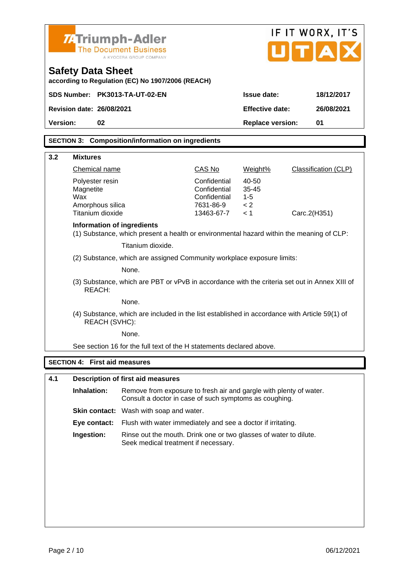|          |                                                                                                                                             | <b>74 Triumph-Adler</b><br><b>The Document Business</b><br>A KYOCERA GROUP COMPANY                        |                              |                    |              | IF IT WORX, IT'S<br>UTAI |
|----------|---------------------------------------------------------------------------------------------------------------------------------------------|-----------------------------------------------------------------------------------------------------------|------------------------------|--------------------|--------------|--------------------------|
|          | Safety Data Sheet                                                                                                                           | according to Regulation (EC) No 1907/2006 (REACH)                                                         |                              |                    |              |                          |
|          |                                                                                                                                             | SDS Number: PK3013-TA-UT-02-EN                                                                            |                              | Issue date:        |              | 18/12/2017               |
|          | Revision date: 26/08/2021                                                                                                                   |                                                                                                           |                              | Effective date:    |              | 26/08/2021               |
| Version: | 02                                                                                                                                          |                                                                                                           |                              | Replace version:   |              | 01                       |
|          |                                                                                                                                             | SECTION 3: Composition/information on ingredients                                                         |                              |                    |              |                          |
|          |                                                                                                                                             |                                                                                                           |                              |                    |              |                          |
| 3.2      | <b>Mixtures</b>                                                                                                                             |                                                                                                           |                              |                    |              |                          |
|          | Chemical name                                                                                                                               |                                                                                                           | CAS No                       | Weight%            |              | Classification (CLP)     |
|          | Polyester resin<br>Magnetite                                                                                                                |                                                                                                           | Confidential<br>Confidential | 40-50<br>$35 - 45$ |              |                          |
|          | Wax                                                                                                                                         |                                                                                                           | Confidential                 | $1 - 5$            |              |                          |
|          | Amorphous silica<br>Titanium dioxide                                                                                                        |                                                                                                           | 7631-86-9<br>13463-67-7      | < 2<br>< 1         | Carc.2(H351) |                          |
|          | Information of ingredients                                                                                                                  |                                                                                                           |                              |                    |              |                          |
|          |                                                                                                                                             | (1) Substance, which present a health or environmental hazard within the meaning of CLP:                  |                              |                    |              |                          |
|          |                                                                                                                                             | Titanium dioxide.                                                                                         |                              |                    |              |                          |
|          |                                                                                                                                             | (2) Substance, which are assigned Community workplace exposure limits:                                    |                              |                    |              |                          |
|          |                                                                                                                                             | None.                                                                                                     |                              |                    |              |                          |
|          | REACH:                                                                                                                                      | (3) Substance, which are PBT or vPvB in accordance with the criteria set out in Annex XIII of             |                              |                    |              |                          |
|          |                                                                                                                                             | None.                                                                                                     |                              |                    |              |                          |
|          | REACH (SVHC):                                                                                                                               | (4) Substance, which are included in the list established in accordance with Article 59(1) of             |                              |                    |              |                          |
|          |                                                                                                                                             | None.                                                                                                     |                              |                    |              |                          |
|          |                                                                                                                                             | See section 16 for the full text of the H statements declared above.                                      |                              |                    |              |                          |
|          | SECTION 4: First aid measures                                                                                                               |                                                                                                           |                              |                    |              |                          |
| 4.1      |                                                                                                                                             | Description of first aid measures                                                                         |                              |                    |              |                          |
|          | Inhalation:<br>Remove from exposure to fresh air and gargle with plenty of water.<br>Consult a doctor in case of such symptoms as coughing. |                                                                                                           |                              |                    |              |                          |
|          |                                                                                                                                             | Skin contact: Wash with soap and water.                                                                   |                              |                    |              |                          |
|          | Eye contact:                                                                                                                                | Flush with water immediately and see a doctor if irritating.                                              |                              |                    |              |                          |
|          | Ingestion:                                                                                                                                  | Rinse out the mouth. Drink one or two glasses of water to dilute.<br>Seek medical treatment if necessary. |                              |                    |              |                          |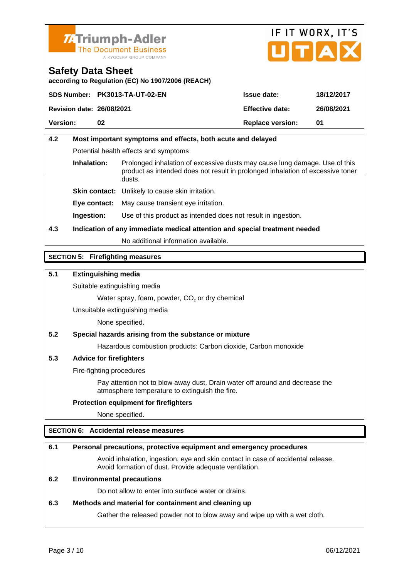



according to Regulation (EC) No 1907/2006 (REACH)

|                           | SDS Number: PK3013-TA-UT-02-EN | Issue date:      | 18/12/2017 |
|---------------------------|--------------------------------|------------------|------------|
| Revision date: 26/08/2021 |                                | Effective date:  | 26/08/2021 |
| Version:                  | 02                             | Replace version: | .N1        |

# 4.2 Most important symptoms and effects, both acute and delayed Potential health effects and symptoms Inhalation: Prolonged inhalation of excessive dusts may cause lung damage. Use of this product as intended does not result in prolonged inhalation of excessive toner dusts. Skin contact: Unlikely to cause skin irritation. Eye contact: May cause transient eye irritation. Ingestion: Use of this product as intended does not result in ingestion. 4.3 Indication of any immediate medical attention and special treatment needed No additional information available.

## SECTION 5: Firefighting measures

5.1 Extinguishing media

Suitable extinguishing media

Water spray, foam, powder,  $CO<sub>2</sub>$  or dry chemical

Unsuitable extinguishing media

None specified.

5.2 Special hazards arising from the substance or mixture

Hazardous combustion products: Carbon dioxide, Carbon monoxide

5.3 Advice for firefighters

Fire-fighting procedures

Pay attention not to blow away dust. Drain water off around and decrease the atmosphere temperature to extinguish the fire.

Protection equipment for firefighters

None specified.

## SECTION 6: Accidental release measures

| 6.1 | Personal precautions, protective equipment and emergency procedures                                                                        |
|-----|--------------------------------------------------------------------------------------------------------------------------------------------|
|     | Avoid inhalation, ingestion, eye and skin contact in case of accidental release.<br>Avoid formation of dust. Provide adequate ventilation. |
| 6.2 | Environmental precautions                                                                                                                  |
|     | Do not allow to enter into surface water or drains.                                                                                        |
| 6.3 | Methods and material for containment and cleaning up                                                                                       |
|     | Gather the released powder not to blow away and wipe up with a wet cloth.                                                                  |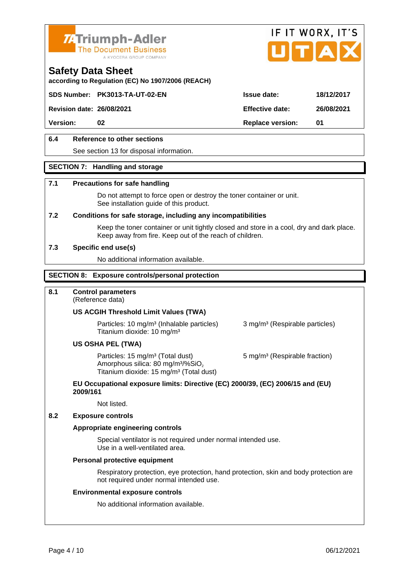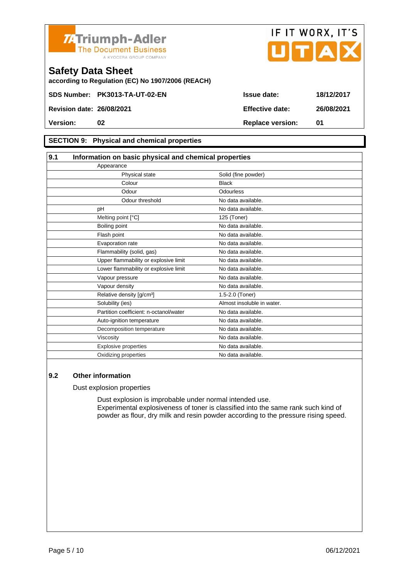



according to Regulation (EC) No 1907/2006 (REACH)

#### SECTION 9: Physical and chemical properties

| 9.1 | Information on basic physical and chemical properties |                            |  |
|-----|-------------------------------------------------------|----------------------------|--|
|     | Appearance                                            |                            |  |
|     | Physical state                                        | Solid (fine powder)        |  |
|     | Colour                                                | <b>Black</b>               |  |
|     | Odour                                                 | Odourless                  |  |
|     | Odour threshold                                       | No data available.         |  |
|     | pH                                                    | No data available.         |  |
|     | Melting point [°C]                                    | 125 (Toner)                |  |
|     | Boiling point                                         | No data available.         |  |
|     | Flash point                                           | No data available.         |  |
|     | Evaporation rate                                      | No data available.         |  |
|     | Flammability (solid, gas)                             | No data available.         |  |
|     | Upper flammability or explosive limit                 | No data available.         |  |
|     | Lower flammability or explosive limit                 | No data available.         |  |
|     | Vapour pressure                                       | No data available.         |  |
|     | Vapour density                                        | No data available.         |  |
|     | Relative density [g/cm <sup>3</sup> ]                 | 1.5-2.0 (Toner)            |  |
|     | Solubility (ies)                                      | Almost insoluble in water. |  |
|     | Partition coefficient: n-octanol/water                | No data available.         |  |
|     | Auto-ignition temperature                             | No data available.         |  |
|     | Decomposition temperature                             | No data available.         |  |
|     | Viscosity                                             | No data available.         |  |
|     | Explosive properties                                  | No data available.         |  |
|     | Oxidizing properties                                  | No data available.         |  |

#### 9.2 Other information

Dust explosion properties

Dust explosion is improbable under normal intended use. Experimental explosiveness of toner is classified into the same rank such kind of powder as flour, dry milk and resin powder according to the pressure rising speed.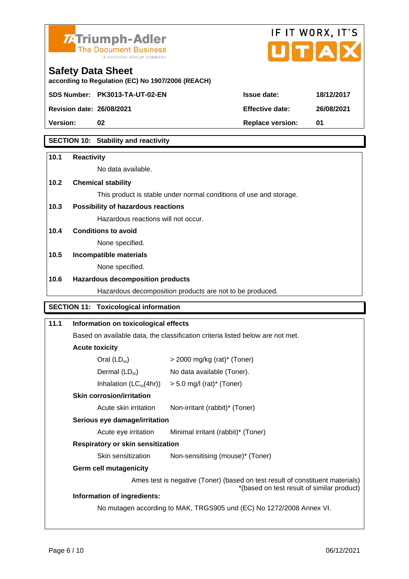

according to Regulation (EC) No 1907/2006 (REACH)

Safety Data Sheet



Version: 02 02 Replace version: 01

## SECTION 10: Stability and reactivity

| 10.1 | Reactivity                            |                                                                                                                             |
|------|---------------------------------------|-----------------------------------------------------------------------------------------------------------------------------|
|      | No data available.                    |                                                                                                                             |
| 10.2 | Chemical stability                    |                                                                                                                             |
|      |                                       | This product is stable under normal conditions of use and storage.                                                          |
| 10.3 | Possibility of hazardous reactions    |                                                                                                                             |
|      | Hazardous reactions will not occur.   |                                                                                                                             |
| 10.4 | Conditions to avoid                   |                                                                                                                             |
|      | None specified.                       |                                                                                                                             |
| 10.5 | Incompatible materials                |                                                                                                                             |
|      | None specified.                       |                                                                                                                             |
| 10.6 | Hazardous decomposition products      |                                                                                                                             |
|      |                                       | Hazardous decomposition products are not to be produced.                                                                    |
|      | SECTION 11: Toxicological information |                                                                                                                             |
| 11.1 | Information on toxicological effects  |                                                                                                                             |
|      |                                       | Based on available data, the classification criteria listed below are not met.                                              |
|      | Acute toxicity                        |                                                                                                                             |
|      | Oral $(LD_{50})$                      | $>$ 2000 mg/kg (rat)* (Toner)                                                                                               |
|      | Dermal $(LD_{50})$                    | No data available (Toner).                                                                                                  |
|      | Inhalation $(LC_{50}(4hr))$           | $> 5.0$ mg/l (rat)* (Toner)                                                                                                 |
|      | Skin corrosion/irritation             |                                                                                                                             |
|      | Acute skin irritation                 | Non-irritant (rabbit)* (Toner)                                                                                              |
|      | Serious eye damage/irritation         |                                                                                                                             |
|      | Acute eye irritation                  | Minimal irritant (rabbit)* (Toner)                                                                                          |
|      | Respiratory or skin sensitization     |                                                                                                                             |
|      | Skin sensitization                    | Non-sensitising (mouse)* (Toner)                                                                                            |
|      | Germ cell mutagenicity                |                                                                                                                             |
|      |                                       | Ames test is negative (Toner) (based on test result of constituent materials)<br>*(based on test result of similar product) |
|      | Information of ingredients:           |                                                                                                                             |
|      |                                       | No mutagen according to MAK, TRGS905 und (EC) No 1272/2008 Annex VI.                                                        |
|      |                                       |                                                                                                                             |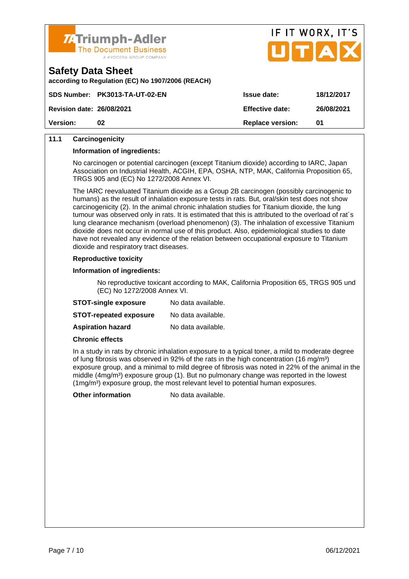



according to Regulation (EC) No 1907/2006 (REACH)

|                           | SDS Number: PK3013-TA-UT-02-EN | Issue date:      | 18/12/2017 |
|---------------------------|--------------------------------|------------------|------------|
| Revision date: 26/08/2021 |                                | Effective date:  | 26/08/2021 |
| Version:                  | 02                             | Replace version: |            |

## 11.1 Carcinogenicity

Information of ingredients:

No carcinogen or potential carcinogen (except Titanium dioxide) according to IARC, Japan Association on Industrial Health, ACGIH, EPA, OSHA, NTP, MAK, California Proposition 65, TRGS 905 and (EC) No 1272/2008 Annex VI.

The IARC reevaluated Titanium dioxide as a Group 2B carcinogen (possibly carcinogenic to humans) as the result of inhalation exposure tests in rats. But, oral/skin test does not show carcinogenicity (2). In the animal chronic inhalation studies for Titanium dioxide, the lung tumour was observed only in rats. It is estimated that this is attributed to the overload of rat´s lung clearance mechanism (overload phenomenon) (3). The inhalation of excessive Titanium dioxide does not occur in normal use of this product. Also, epidemiological studies to date have not revealed any evidence of the relation between occupational exposure to Titanium dioxide and respiratory tract diseases.

#### Reproductive toxicity

Information of ingredients:

No reproductive toxicant according to MAK, California Proposition 65, TRGS 905 und (EC) No 1272/2008 Annex VI.

| STOT-single exposure   | No data available. |
|------------------------|--------------------|
| STOT-repeated exposure | No data available. |
| Aspiration hazard      | No data available. |

Chronic effects

In a study in rats by chronic inhalation exposure to a typical toner, a mild to moderate degree of lung fibrosis was observed in 92% of the rats in the high concentration (16 mg/m<sup>3</sup>) exposure group, and a minimal to mild degree of fibrosis was noted in 22% of the animal in the middle (4mg/m<sup>3</sup>) exposure group (1). But no pulmonary change was reported in the lowest  $(1 \text{mg/m}^3)$  exposure group, the most relevant level to potential human exposures.

Other information No data available.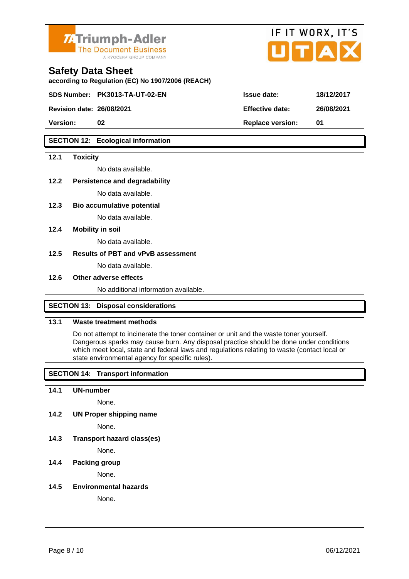

according to Regulation (EC) No 1907/2006 (REACH)

Safety Data Sheet

Revision date: 26/08/2021

|                 | IF IT WORX, IT'S |            |  |
|-----------------|------------------|------------|--|
|                 |                  |            |  |
|                 |                  |            |  |
| Issue date:     |                  | 18/12/2017 |  |
|                 |                  |            |  |
| Effective date: |                  | 26/08/2021 |  |

SECTION 12: Ecological information

SDS Number: PK3013-TA-UT-02-EN

| 12.1 | Toxicity                             |  |
|------|--------------------------------------|--|
|      | No data available.                   |  |
| 12.2 | Persistence and degradability        |  |
|      | No data available.                   |  |
| 12.3 | Bio accumulative potential           |  |
|      | No data available.                   |  |
| 12.4 | Mobility in soil                     |  |
|      | No data available.                   |  |
| 12.5 | Results of PBT and vPvB assessment   |  |
|      | No data available.                   |  |
| 12.6 | Other adverse effects                |  |
|      | No additional information available. |  |

Version: 02 02 Replace version: 01

#### SECTION 13: Disposal considerations

#### 13.1 Waste treatment methods

Do not attempt to incinerate the toner container or unit and the waste toner yourself. Dangerous sparks may cause burn. Any disposal practice should be done under conditions which meet local, state and federal laws and regulations relating to waste (contact local or state environmental agency for specific rules).

SECTION 14: Transport information

14.1 UN-number

None.

14.2 UN Proper shipping name

None.

14.3 Transport hazard class(es)

None.

#### 14.4 Packing group

None.

14.5 Environmental hazards

None.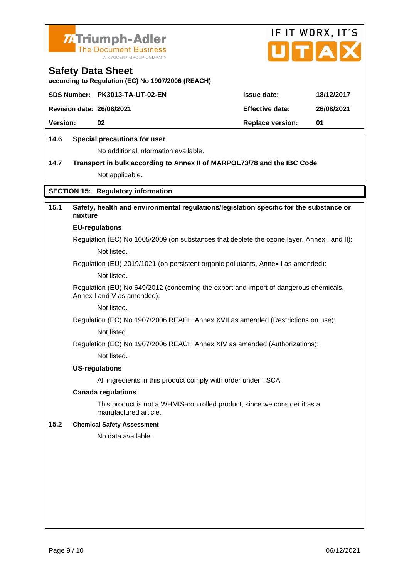



according to Regulation (EC) No 1907/2006 (REACH)

|                           | SDS Number: PK3013-TA-UT-02-EN | Issue date:      | 18/12/2017 |
|---------------------------|--------------------------------|------------------|------------|
| Revision date: 26/08/2021 |                                | Effective date:  | 26/08/2021 |
| Version:                  | 02                             | Replace version: | 01         |
|                           |                                |                  |            |

## 14.6 Special precautions for user

No additional information available.

14.7 Transport in bulk according to Annex II of MARPOL73/78 and the IBC Code Not applicable.

## SECTION 15: Regulatory information

| 15.1 | Safety, health and environmental regulations/legislation specific for the substance or<br>mixture                   |
|------|---------------------------------------------------------------------------------------------------------------------|
|      | EU-regulations                                                                                                      |
|      | Regulation (EC) No 1005/2009 (on substances that deplete the ozone layer, Annex I and II):                          |
|      | Not listed.                                                                                                         |
|      | Regulation (EU) 2019/1021 (on persistent organic pollutants, Annex I as amended):                                   |
|      | Not listed.                                                                                                         |
|      | Regulation (EU) No 649/2012 (concerning the export and import of dangerous chemicals,<br>Annex I and V as amended): |
|      | Not listed.                                                                                                         |
|      | Regulation (EC) No 1907/2006 REACH Annex XVII as amended (Restrictions on use):                                     |
|      | Not listed.                                                                                                         |
|      | Regulation (EC) No 1907/2006 REACH Annex XIV as amended (Authorizations):                                           |
|      | Not listed.                                                                                                         |
|      | US-regulations                                                                                                      |
|      | All ingredients in this product comply with order under TSCA.                                                       |
|      | Canada regulations                                                                                                  |
|      | This product is not a WHMIS-controlled product, since we consider it as a<br>manufactured article.                  |
| 15.2 | <b>Chemical Safety Assessment</b>                                                                                   |
|      | No data available.                                                                                                  |
|      |                                                                                                                     |
|      |                                                                                                                     |
|      |                                                                                                                     |
|      |                                                                                                                     |
|      |                                                                                                                     |
|      |                                                                                                                     |